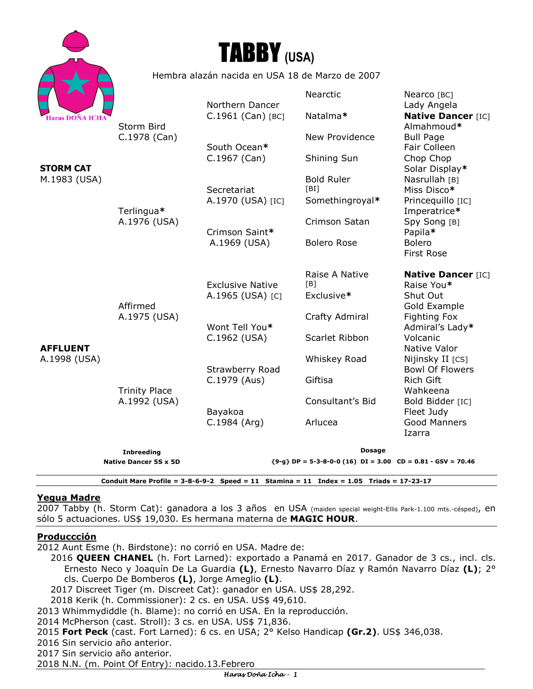| Haras DOÑA ICHA |
|-----------------|



Hembra alazán nacida en USA 18 de Marzo de 2007

|                                                     | <b>Native Dancer 5S x 5D</b>         | <b>Dosage</b><br>${9-g}$ DP = 5-3-8-0-0 (16) DI = 3.00 CD = 0.81 - GSV = 70.46 |                                              |                                                                 |
|-----------------------------------------------------|--------------------------------------|--------------------------------------------------------------------------------|----------------------------------------------|-----------------------------------------------------------------|
|                                                     | <b>Inbreeding</b>                    |                                                                                |                                              |                                                                 |
| AFFLUENT<br>A.1998 (USA)                            | <b>Trinity Place</b><br>A.1992 (USA) | Bayakoa<br>C.1984 (Arg)                                                        | Consultant's Bid<br>Arlucea                  | Bold Bidder [IC]<br>Fleet Judy<br><b>Good Manners</b><br>Izarra |
|                                                     |                                      | C.1979 (Aus)                                                                   | Giftisa                                      | Rich Gift<br>Wahkeena                                           |
|                                                     |                                      | Strawberry Road                                                                | Whiskey Road                                 | Native Valor<br>Nijinsky II [CS]<br><b>Bowl Of Flowers</b>      |
|                                                     | Affirmed<br>A.1975 (USA)             | Wont Tell You*<br>C.1962 (USA)                                                 | Scarlet Ribbon                               | Admiral's Lady*<br>Volcanic                                     |
|                                                     |                                      |                                                                                | Crafty Admiral                               | Gold Example<br><b>Fighting Fox</b>                             |
|                                                     |                                      | <b>Exclusive Native</b><br>A.1965 (USA) [C]                                    | Raise A Native<br>[B]<br>Exclusive*          | <b>Native Dancer [IC]</b><br>Raise You*<br>Shut Out             |
|                                                     |                                      | A.1969 (USA)                                                                   | <b>Bolero Rose</b>                           | <b>Bolero</b><br><b>First Rose</b>                              |
|                                                     | Terlingua*<br>A.1976 (USA)           | Crimson Saint*                                                                 | Crimson Satan                                | Imperatrice*<br>Spy Song [B]<br>Papila*                         |
| Haras DOÑA ICHA<br><b>STORM CAT</b><br>M.1983 (USA) |                                      | Secretariat<br>A.1970 (USA) [IC]                                               | <b>Bold Ruler</b><br>[BI]<br>Somethingroyal* | Nasrullah [B]<br>Miss Disco*<br>Princequillo [IC]               |
|                                                     | Storm Bird<br>C.1978 (Can)           | South Ocean*<br>C.1967 (Can)                                                   | Shining Sun                                  | Fair Colleen<br>Chop Chop<br>Solar Display*                     |
|                                                     |                                      |                                                                                | New Providence                               | Almahmoud*<br><b>Bull Page</b>                                  |
|                                                     |                                      | Northern Dancer<br>C.1961 (Can) [BC]                                           | Nearctic<br>Natalma*                         | Nearco [BC]<br>Lady Angela<br><b>Native Dancer [IC]</b>         |
|                                                     |                                      |                                                                                |                                              |                                                                 |

# **Yegua Madre**

2007 Tabby (h. Storm Cat): ganadora a los 3 años en USA (maiden special weight-Ellis Park-1.100 mts.-césped), en sólo 5 actuaciones. US\$ 19,030. Es hermana materna de **MAGIC HOUR**.

**Conduit Mare Profile = 3-8-6-9-2 Speed = 11 Stamina = 11 Index = 1.05 Triads = 17-23-17** 

#### **Produccción**

2012 Aunt Esme (h. Birdstone): no corrió en USA. Madre de:

2016 **QUEEN CHANEL** (h. Fort Larned): exportado a Panamá en 2017. Ganador de 3 cs., incl. cls. Ernesto Neco y Joaquín De La Guardia **(L)**, Ernesto Navarro Díaz y Ramón Navarro Díaz **(L)**; 2° cls. Cuerpo De Bomberos **(L)**, Jorge Ameglio **(L)**.

2017 Discreet Tiger (m. Discreet Cat): ganador en USA. US\$ 28,292.

2018 Kerik (h. Commissioner): 2 cs. en USA. US\$ 49,610.

2013 Whimmydiddle (h. Blame): no corrió en USA. En la reproducción.

2014 McPherson (cast. Stroll): 3 cs. en USA. US\$ 71,836.

2015 **Fort Peck** (cast. Fort Larned): 6 cs. en USA; 2° Kelso Handicap **(Gr.2)**. US\$ 346,038.

2016 Sin servicio año anterior.

2017 Sin servicio año anterior.

2018 N.N. (m. Point Of Entry): nacido.13.Febrero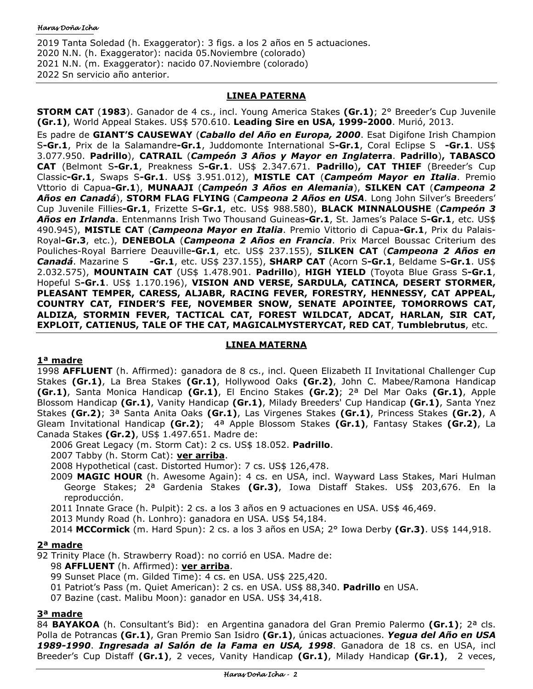2019 Tanta Soledad (h. Exaggerator): 3 figs. a los 2 años en 5 actuaciones. 2020 N.N. (h. Exaggerator): nacida 05.Noviembre (colorado) 2021 N.N. (m. Exaggerator): nacido 07.Noviembre (colorado) 2022 Sn servicio año anterior.

# **LINEA PATERNA**

**STORM CAT** (**1983**). Ganador de 4 cs., incl. Young America Stakes **(Gr.1)**; 2° Breeder's Cup Juvenile **(Gr.1)**, World Appeal Stakes. US\$ 570.610. **Leading Sire en USA, 1999-2000**. Murió, 2013.

Es padre de **GIANT'S CAUSEWAY** (*Caballo del Año en Europa, 2000*. Esat Digifone Irish Champion S**-Gr.1**, Prix de la Salamandre**-Gr.1**, Juddomonte International S**-Gr.1**, Coral Eclipse S **-Gr.1**. US\$ 3.077.950. **Padrillo**), **CATRAIL** (*Campeón 3 Años y Mayor en Inglate***rra**. **Padrillo**)**, TABASCO CAT** (Belmont S**-Gr.1**, Preakness S**-Gr.1**. US\$ 2.347.671. **Padrillo**)**, CAT THIEF** (Breeder's Cup Classic**-Gr.1**, Swaps S**-Gr.1**. US\$ 3.951.012), **MISTLE CAT** (*Campeóm Mayor en Italia*. Premio Vttorio di Capua**-Gr.1**), **MUNAAJI** (*Campeón 3 Años en Alemania*), **SILKEN CAT** (*Campeona 2 Años en Canadá*), **STORM FLAG FLYING** (*Campeona 2 Años en USA*. Long John Silver's Breeders' Cup Juvenile Fillies**-Gr.1**, Frizette S**-Gr.1**, etc. US\$ 988.580), **BLACK MINNALOUSHE** (*Campeón 3 Años en Irland***a**. Entenmanns Irish Two Thousand Guineas**-Gr.1**, St. James's Palace S**-Gr.1**, etc. US\$ 490.945), **MISTLE CAT** (*Campeona Mayor en Italia*. Premio Vittorio di Capua**-Gr.1**, Prix du Palais-Royal**-Gr.3**, etc.), **DENEBOLA** (*Campeona 2 Años en Francia*. Prix Marcel Boussac Criterium des Pouliches-Royal Barriere Deauville**-Gr.1**, etc. US\$ 237.155), **SILKEN CAT** (*Campeona 2 Años en Canadá*. Mazarine S **-Gr.1**, etc. US\$ 237.155), **SHARP CAT** (Acorn S**-Gr.1**, Beldame S**-Gr.1**. US\$ 2.032.575), **MOUNTAIN CAT** (US\$ 1.478.901. **Padrillo**), **HIGH YIELD** (Toyota Blue Grass S**-Gr.1**, Hopeful S**-Gr.1**. US\$ 1.170.196), **VISION AND VERSE, SARDULA, CATINCA, DESERT STORMER, PLEASANT TEMPER, CARESS, ALJABR, RACING FEVER, FORESTRY, HENNESSY, CAT APPEAL, COUNTRY CAT, FINDER'S FEE, NOVEMBER SNOW, SENATE APOINTEE, TOMORROWS CAT, ALDIZA, STORMIN FEVER, TACTICAL CAT, FOREST WILDCAT, ADCAT, HARLAN, SIR CAT, EXPLOIT, CATIENUS, TALE OF THE CAT, MAGICALMYSTERYCAT, RED CAT**, **Tumblebrutus**, etc.

### **LINEA MATERNA**

### **1ª madre**

1998 **AFFLUENT** (h. Affirmed): ganadora de 8 cs., incl. Queen Elizabeth II Invitational Challenger Cup Stakes **(Gr.1)**, La Brea Stakes **(Gr.1)**, Hollywood Oaks **(Gr.2)**, John C. Mabee/Ramona Handicap **(Gr.1)**, Santa Monica Handicap **(Gr.1)**, El Encino Stakes **(Gr.2)**; 2ª Del Mar Oaks **(Gr.1)**, Apple Blossom Handicap **(Gr.1)**, Vanity Handicap **(Gr.1)**, Milady Breeders' Cup Handicap **(Gr.1)**, Santa Ynez Stakes **(Gr.2)**; 3ª Santa Anita Oaks **(Gr.1)**, Las Virgenes Stakes **(Gr.1)**, Princess Stakes **(Gr.2)**, A Gleam Invitational Handicap **(Gr.2)**; 4ª Apple Blossom Stakes **(Gr.1)**, Fantasy Stakes **(Gr.2)**, La Canada Stakes **(Gr.2)**, US\$ 1.497.651. Madre de:

2006 Great Legacy (m. Storm Cat): 2 cs. US\$ 18.052. **Padrillo**.

2007 Tabby (h. Storm Cat): **ver arriba**.

2008 Hypothetical (cast. Distorted Humor): 7 cs. US\$ 126,478.

2009 **MAGIC HOUR** (h. Awesome Again): 4 cs. en USA, incl. Wayward Lass Stakes, Mari Hulman George Stakes; 2ª Gardenia Stakes **(Gr.3)**, Iowa Distaff Stakes. US\$ 203,676. En la reproducción.

2011 Innate Grace (h. Pulpit): 2 cs. a los 3 años en 9 actuaciones en USA. US\$ 46,469.

2013 Mundy Road (h. Lonhro): ganadora en USA. US\$ 54,184.

2014 **MCCormick** (m. Hard Spun): 2 cs. a los 3 años en USA; 2° Iowa Derby **(Gr.3)**. US\$ 144,918.

### **2ª madre**

92 Trinity Place (h. Strawberry Road): no corrió en USA. Madre de:

98 **AFFLUENT** (h. Affirmed): **ver arriba**.

99 Sunset Place (m. Gilded Time): 4 cs. en USA. US\$ 225,420.

01 Patriot's Pass (m. Quiet American): 2 cs. en USA. US\$ 88,340. **Padrillo** en USA.

07 Bazine (cast. Malibu Moon): ganador en USA. US\$ 34,418.

### **3ª madre**

84 **BAYAKOA** (h. Consultant's Bid): en Argentina ganadora del Gran Premio Palermo **(Gr.1)**; 2ª cls. Polla de Potrancas **(Gr.1)**, Gran Premio San Isidro **(Gr.1)**, únicas actuaciones. *Yegua del Año en USA 1989-1990*. *Ingresada al Salón de la Fama en USA, 1998*. Ganadora de 18 cs. en USA, incl Breeder's Cup Distaff **(Gr.1)**, 2 veces, Vanity Handicap **(Gr.1)**, Milady Handicap **(Gr.1)**, 2 veces,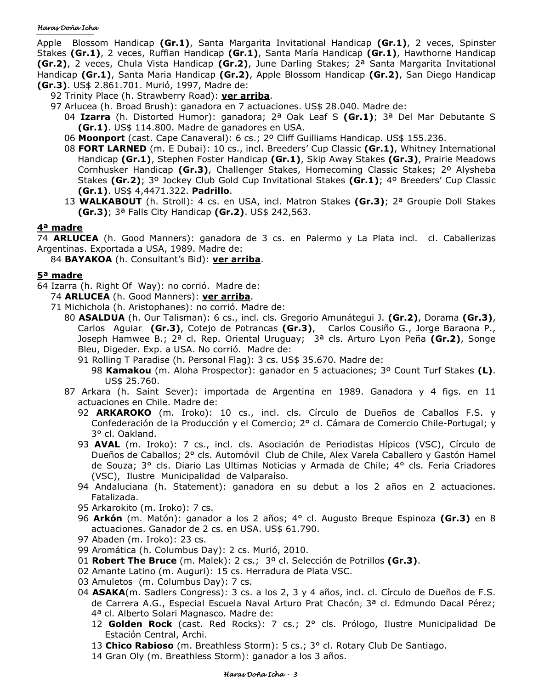#### Haras Doña Icha

Apple Blossom Handicap **(Gr.1)**, Santa Margarita Invitational Handicap **(Gr.1)**, 2 veces, Spinster Stakes **(Gr.1)**, 2 veces, Ruffian Handicap **(Gr.1)**, Santa María Handicap **(Gr.1)**, Hawthorne Handicap **(Gr.2)**, 2 veces, Chula Vista Handicap **(Gr.2)**, June Darling Stakes; 2ª Santa Margarita Invitational Handicap **(Gr.1)**, Santa Maria Handicap **(Gr.2)**, Apple Blossom Handicap **(Gr.2)**, San Diego Handicap **(Gr.3)**. US\$ 2.861.701. Murió, 1997, Madre de:

- 92 Trinity Place (h. Strawberry Road): **ver arriba**.
- 97 Arlucea (h. Broad Brush): ganadora en 7 actuaciones. US\$ 28.040. Madre de:
	- 04 **Izarra** (h. Distorted Humor): ganadora; 2ª Oak Leaf S **(Gr.1)**; 3ª Del Mar Debutante S **(Gr.1)**. US\$ 114.800. Madre de ganadores en USA.
	- 06 **Moonport** (cast. Cape Canaveral): 6 cs.; 2º Cliff Guilliams Handicap. US\$ 155.236.
	- 08 **FORT LARNED** (m. E Dubai): 10 cs., incl. Breeders' Cup Classic **(Gr.1)**, Whitney International Handicap **(Gr.1)**, Stephen Foster Handicap **(Gr.1)**, Skip Away Stakes **(Gr.3)**, Prairie Meadows Cornhusker Handicap **(Gr.3)**, Challenger Stakes, Homecoming Classic Stakes; 2º Alysheba Stakes **(Gr.2)**; 3º Jockey Club Gold Cup Invitational Stakes **(Gr.1)**; 4º Breeders' Cup Classic **(Gr.1)**. US\$ 4,4471.322. **Padrillo**.
	- 13 **WALKABOUT** (h. Stroll): 4 cs. en USA, incl. Matron Stakes **(Gr.3)**; 2ª Groupie Doll Stakes **(Gr.3)**; 3ª Falls City Handicap **(Gr.2)**. US\$ 242,563.

# **4ª madre**

74 **ARLUCEA** (h. Good Manners): ganadora de 3 cs. en Palermo y La Plata incl. cl. Caballerizas Argentinas. Exportada a USA, 1989. Madre de:

84 **BAYAKOA** (h. Consultant's Bid): **ver arriba**.

# **5ª madre**

- 64 Izarra (h. Right Of Way): no corrió. Madre de:
	- 74 **ARLUCEA** (h. Good Manners): **ver arriba**.
		- 71 Michichola (h. Aristophanes): no corrió. Madre de:
			- 80 **ASALDUA** (h. Our Talisman): 6 cs., incl. cls. Gregorio Amunátegui J. **(Gr.2)**, Dorama **(Gr.3)**, Carlos Aguiar **(Gr.3)**, Cotejo de Potrancas **(Gr.3)**, Carlos Cousiño G., Jorge Baraona P., Joseph Hamwee B.; 2ª cl. Rep. Oriental Uruguay; 3ª cls. Arturo Lyon Peña **(Gr.2)**, Songe Bleu, Digeder. Exp. a USA. No corrió. Madre de:
				- 91 Rolling T Paradise (h. Personal Flag): 3 cs. US\$ 35.670. Madre de:
					- 98 **Kamakou** (m. Aloha Prospector): ganador en 5 actuaciones; 3º Count Turf Stakes **(L)**. US\$ 25.760.
			- 87 Arkara (h. Saint Sever): importada de Argentina en 1989. Ganadora y 4 figs. en 11 actuaciones en Chile. Madre de:
				- 92 **ARKAROKO** (m. Iroko): 10 cs., incl. cls. Círculo de Dueños de Caballos F.S. y Confederación de la Producción y el Comercio; 2° cl. Cámara de Comercio Chile-Portugal; y 3° cl. Oakland.
				- 93 **AVAL** (m. Iroko): 7 cs., incl. cls. Asociación de Periodistas Hípicos (VSC), Círculo de Dueños de Caballos; 2° cls. Automóvil Club de Chile, Alex Varela Caballero y Gastón Hamel de Souza; 3° cls. Diario Las Ultimas Noticias y Armada de Chile; 4° cls. Feria Criadores (VSC), Ilustre Municipalidad de Valparaíso.
				- 94 Andaluciana (h. Statement): ganadora en su debut a los 2 años en 2 actuaciones. Fatalizada.
				- 95 Arkarokito (m. Iroko): 7 cs.
				- 96 **Arkón** (m. Matón): ganador a los 2 años; 4° cl. Augusto Breque Espinoza **(Gr.3)** en 8 actuaciones. Ganador de 2 cs. en USA. US\$ 61.790.
				- 97 Abaden (m. Iroko): 23 cs.
				- 99 Aromática (h. Columbus Day): 2 cs. Murió, 2010.
				- 01 **Robert The Bruce** (m. Malek): 2 cs.; 3º cl. Selección de Potrillos **(Gr.3)**.
				- 02 Amante Latino (m. Auguri): 15 cs. Herradura de Plata VSC.
				- 03 Amuletos (m. Columbus Day): 7 cs.
				- 04 **ASAKA**(m. Sadlers Congress): 3 cs. a los 2, 3 y 4 años, incl. cl. Círculo de Dueños de F.S. de Carrera A.G., Especial Escuela Naval Arturo Prat Chacón; 3ª cl. Edmundo Dacal Pérez; 4ª cl. Alberto Solari Magnasco. Madre de:
					- 12 **Golden Rock** (cast. Red Rocks): 7 cs.; 2° cls. Prólogo, Ilustre Municipalidad De Estación Central, Archi.
					- 13 **Chico Rabioso** (m. Breathless Storm): 5 cs.; 3° cl. Rotary Club De Santiago.
					- 14 Gran Oly (m. Breathless Storm): ganador a los 3 años.